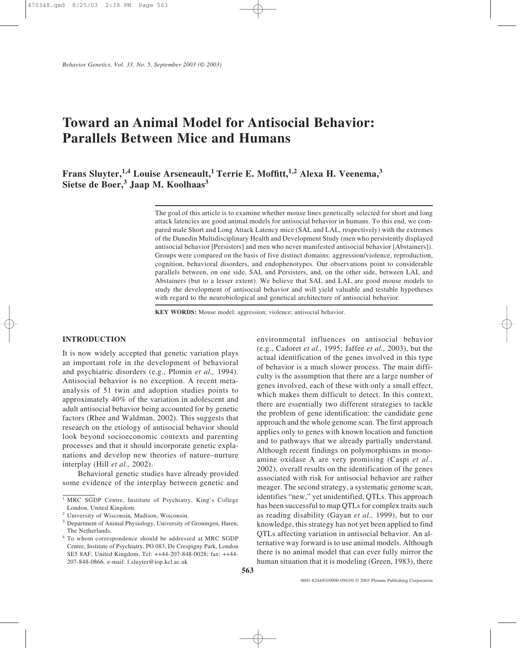# **Toward an Animal Model for Antisocial Behavior: Parallels Between Mice and Humans**

**Frans Sluyter,1,4 Louise Arseneault,1 Terrie E. Moffitt,1,2 Alexa H. Veenema,<sup>3</sup> Sietse de Boer,<sup>3</sup> Jaap M. Koolhaas<sup>3</sup>**

> The goal of this article is to examine whether mouse lines genetically selected for short and long attack latencies are good animal models for antisocial behavior in humans. To this end, we compared male Short and Long Attack Latency mice (SAL and LAL, respectively) with the extremes of the Dunedin Multidisciplinary Health and Development Study (men who persistently displayed antisocial behavior [Persisters] and men who never manifested antisocial behavior [Abstainers]). Groups were compared on the basis of five distinct domains: aggression/violence, reproduction, cognition, behavioral disorders, and endophenotypes. Our observations point to considerable parallels between, on one side, SAL and Persisters, and, on the other side, between LAL and Abstainers (but to a lesser extent). We believe that SAL and LAL are good mouse models to study the development of antisocial behavior and will yield valuable and testable hypotheses with regard to the neurobiological and genetical architecture of antisocial behavior.

**KEY WORDS:** Mouse model; aggression; violence; antisocial behavior.

## **INTRODUCTION**

It is now widely accepted that genetic variation plays an important role in the development of behavioral and psychiatric disorders (e.g., Plomin *et al.,* 1994). Antisocial behavior is no exception. A recent metaanalysis of 51 twin and adoption studies points to approximately 40% of the variation in adolescent and adult antisocial behavior being accounted for by genetic factors (Rhee and Waldman, 2002). This suggests that research on the etiology of antisocial behavior should look beyond socioeconomic contexts and parenting processes and that it should incorporate genetic explanations and develop new theories of nature–nurture interplay (Hill *et al.,* 2002).

Behavioral genetic studies have already provided some evidence of the interplay between genetic and environmental influences on antisocial behavior (e.g., Cadoret *et al.,* 1995; Jaffee *et al.,* 2003), but the actual identification of the genes involved in this type of behavior is a much slower process. The main difficulty is the assumption that there are a large number of genes involved, each of these with only a small effect, which makes them difficult to detect. In this context, there are essentially two different strategies to tackle the problem of gene identification: the candidate gene approach and the whole genome scan. The first approach applies only to genes with known location and function and to pathways that we already partially understand. Although recent findings on polymorphisms in monoamine oxidase A are very promising (Caspi *et al.,* 2002), overall results on the identification of the genes associated with risk for antisocial behavior are rather meager. The second strategy, a systematic genome scan, identifies "new," yet unidentified, QTLs. This approach has been successful to map QTLs for complex traits such as reading disability (Gayan *et al.,* 1999), but to our knowledge, this strategy has not yet been applied to find QTLs affecting variation in antisocial behavior. An alternative way forward is to use animal models. Although there is no animal model that can ever fully mirror the human situation that it is modeling (Green, 1983), there

<sup>&</sup>lt;sup>1</sup> MRC SGDP Centre, Institute of Psychiatry, King's College London, United Kingdom.

<sup>2</sup> University of Wisconsin, Madison, Wisconsin.

<sup>&</sup>lt;sup>3</sup> Department of Animal Physiology, University of Groningen, Haren, The Netherlands.

<sup>4</sup> To whom correspondence should be addressed at MRC SGDP Centre, Institute of Psychiatry, PO 083, De Crespigny Park, London SE5 8AF, United Kingdom. Tel: ++44-207-848-0028; fax: ++44- 207-848-0866. e-mail: f.sluyter@iop.kcl.ac.uk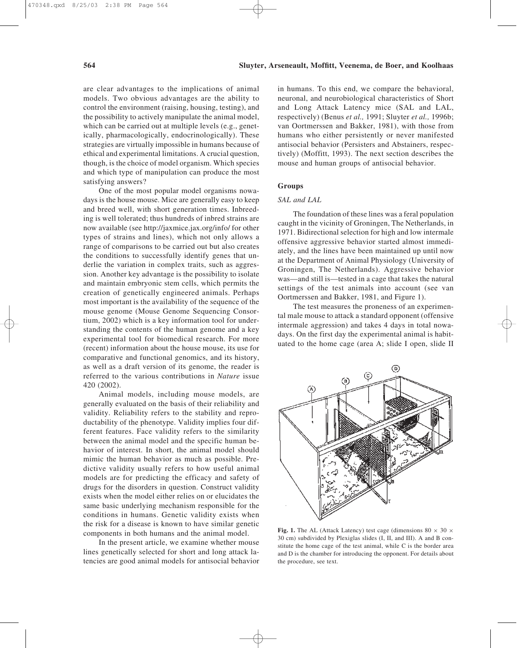are clear advantages to the implications of animal models. Two obvious advantages are the ability to control the environment (raising, housing, testing), and the possibility to actively manipulate the animal model, which can be carried out at multiple levels (e.g., genetically, pharmacologically, endocrinologically). These strategies are virtually impossible in humans because of ethical and experimental limitations. A crucial question, though, is the choice of model organism. Which species and which type of manipulation can produce the most satisfying answers?

One of the most popular model organisms nowadays is the house mouse. Mice are generally easy to keep and breed well, with short generation times. Inbreeding is well tolerated; thus hundreds of inbred strains are now available (see http://jaxmice.jax.org/info/ for other types of strains and lines), which not only allows a range of comparisons to be carried out but also creates the conditions to successfully identify genes that underlie the variation in complex traits, such as aggression. Another key advantage is the possibility to isolate and maintain embryonic stem cells, which permits the creation of genetically engineered animals. Perhaps most important is the availability of the sequence of the mouse genome (Mouse Genome Sequencing Consortium, 2002) which is a key information tool for understanding the contents of the human genome and a key experimental tool for biomedical research. For more (recent) information about the house mouse, its use for comparative and functional genomics, and its history, as well as a draft version of its genome, the reader is referred to the various contributions in *Nature* issue 420 (2002).

Animal models, including mouse models, are generally evaluated on the basis of their reliability and validity. Reliability refers to the stability and reproductability of the phenotype. Validity implies four different features. Face validity refers to the similarity between the animal model and the specific human behavior of interest. In short, the animal model should mimic the human behavior as much as possible. Predictive validity usually refers to how useful animal models are for predicting the efficacy and safety of drugs for the disorders in question. Construct validity exists when the model either relies on or elucidates the same basic underlying mechanism responsible for the conditions in humans. Genetic validity exists when the risk for a disease is known to have similar genetic components in both humans and the animal model.

In the present article, we examine whether mouse lines genetically selected for short and long attack latencies are good animal models for antisocial behavior in humans. To this end, we compare the behavioral, neuronal, and neurobiological characteristics of Short and Long Attack Latency mice (SAL and LAL, respectively) (Benus *et al.,* 1991; Sluyter *et al.,* 1996b; van Oortmerssen and Bakker, 1981), with those from humans who either persistently or never manifested antisocial behavior (Persisters and Abstainers, respectively) (Moffitt, 1993). The next section describes the mouse and human groups of antisocial behavior.

## **Groups**

# *SAL and LAL*

The foundation of these lines was a feral population caught in the vicinity of Groningen, The Netherlands, in 1971. Bidirectional selection for high and low intermale offensive aggressive behavior started almost immediately, and the lines have been maintained up until now at the Department of Animal Physiology (University of Groningen, The Netherlands). Aggressive behavior was—and still is—tested in a cage that takes the natural settings of the test animals into account (see van Oortmerssen and Bakker, 1981, and Figure 1).

The test measures the proneness of an experimental male mouse to attack a standard opponent (offensive intermale aggression) and takes 4 days in total nowadays. On the first day the experimental animal is habituated to the home cage (area A; slide I open, slide II



**Fig. 1.** The AL (Attack Latency) test cage (dimensions  $80 \times 30 \times$ 30 cm) subdivided by Plexiglas slides (I, II, and III). A and B constitute the home cage of the test animal, while C is the border area and D is the chamber for introducing the opponent. For details about the procedure, see text.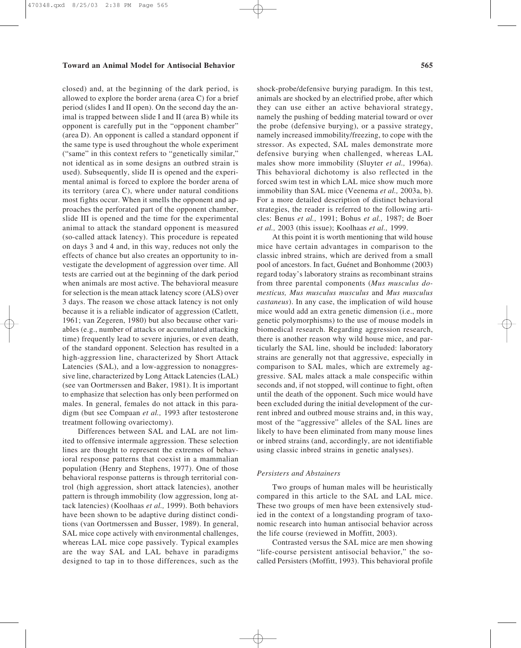closed) and, at the beginning of the dark period, is allowed to explore the border arena (area C) for a brief period (slides I and II open). On the second day the animal is trapped between slide I and II (area B) while its opponent is carefully put in the "opponent chamber" (area D). An opponent is called a standard opponent if the same type is used throughout the whole experiment ("same" in this context refers to "genetically similar," not identical as in some designs an outbred strain is used). Subsequently, slide II is opened and the experimental animal is forced to explore the border arena of its territory (area C), where under natural conditions most fights occur. When it smells the opponent and approaches the perforated part of the opponent chamber, slide III is opened and the time for the experimental animal to attack the standard opponent is measured (so-called attack latency). This procedure is repeated on days 3 and 4 and, in this way, reduces not only the effects of chance but also creates an opportunity to investigate the development of aggression over time. All tests are carried out at the beginning of the dark period when animals are most active. The behavioral measure for selection is the mean attack latency score (ALS) over 3 days. The reason we chose attack latency is not only because it is a reliable indicator of aggression (Catlett, 1961; van Zegeren, 1980) but also because other variables (e.g., number of attacks or accumulated attacking time) frequently lead to severe injuries, or even death, of the standard opponent. Selection has resulted in a high-aggression line, characterized by Short Attack Latencies (SAL), and a low-aggression to nonaggressive line, characterized by Long Attack Latencies (LAL) (see van Oortmerssen and Baker, 1981). It is important to emphasize that selection has only been performed on males. In general, females do not attack in this paradigm (but see Compaan *et al.,* 1993 after testosterone treatment following ovariectomy).

Differences between SAL and LAL are not limited to offensive intermale aggression. These selection lines are thought to represent the extremes of behavioral response patterns that coexist in a mammalian population (Henry and Stephens, 1977). One of those behavioral response patterns is through territorial control (high aggression, short attack latencies), another pattern is through immobility (low aggression, long attack latencies) (Koolhaas *et al.,* 1999). Both behaviors have been shown to be adaptive during distinct conditions (van Oortmerssen and Busser, 1989). In general, SAL mice cope actively with environmental challenges, whereas LAL mice cope passively. Typical examples are the way SAL and LAL behave in paradigms designed to tap in to those differences, such as the shock-probe/defensive burying paradigm. In this test, animals are shocked by an electrified probe, after which they can use either an active behavioral strategy, namely the pushing of bedding material toward or over the probe (defensive burying), or a passive strategy, namely increased immobility/freezing, to cope with the stressor. As expected, SAL males demonstrate more defensive burying when challenged, whereas LAL males show more immobility (Sluyter *et al.,* 1996a). This behavioral dichotomy is also reflected in the forced swim test in which LAL mice show much more immobility than SAL mice (Veenema *et al.,* 2003a, b). For a more detailed description of distinct behavioral strategies, the reader is referred to the following articles: Benus *et al.,* 1991; Bohus *et al.,* 1987; de Boer *et al.,* 2003 (this issue); Koolhaas *et al.,* 1999.

At this point it is worth mentioning that wild house mice have certain advantages in comparison to the classic inbred strains, which are derived from a small pool of ancestors. In fact, Guénet and Bonhomme (2003) regard today's laboratory strains as recombinant strains from three parental components (*Mus musculus domesticus, Mus musculus musculus* and *Mus musculus castaneus*). In any case, the implication of wild house mice would add an extra genetic dimension (i.e., more genetic polymorphisms) to the use of mouse models in biomedical research. Regarding aggression research, there is another reason why wild house mice, and particularly the SAL line, should be included: laboratory strains are generally not that aggressive, especially in comparison to SAL males, which are extremely aggressive. SAL males attack a male conspecific within seconds and, if not stopped, will continue to fight, often until the death of the opponent. Such mice would have been excluded during the initial development of the current inbred and outbred mouse strains and, in this way, most of the "aggressive" alleles of the SAL lines are likely to have been eliminated from many mouse lines or inbred strains (and, accordingly, are not identifiable using classic inbred strains in genetic analyses).

## *Persisters and Abstainers*

Two groups of human males will be heuristically compared in this article to the SAL and LAL mice. These two groups of men have been extensively studied in the context of a longstanding program of taxonomic research into human antisocial behavior across the life course (reviewed in Moffitt, 2003).

Contrasted versus the SAL mice are men showing "life-course persistent antisocial behavior," the socalled Persisters (Moffitt, 1993). This behavioral profile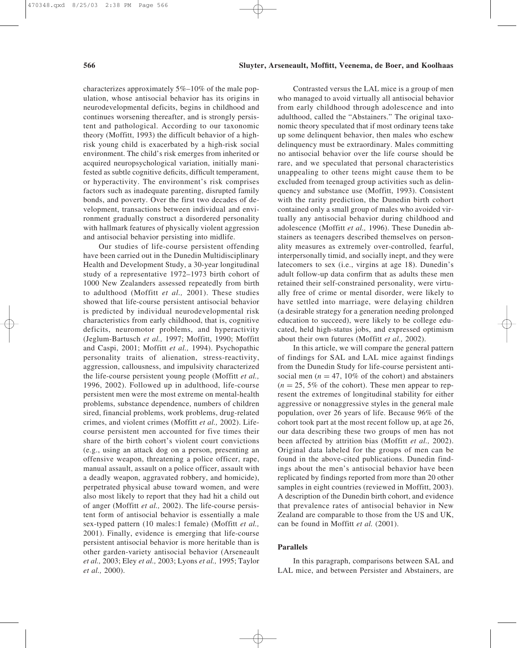characterizes approximately 5%–10% of the male population, whose antisocial behavior has its origins in neurodevelopmental deficits, begins in childhood and continues worsening thereafter, and is strongly persistent and pathological. According to our taxonomic theory (Moffitt, 1993) the difficult behavior of a highrisk young child is exacerbated by a high-risk social environment. The child's risk emerges from inherited or acquired neuropsychological variation, initially manifested as subtle cognitive deficits, difficult temperament, or hyperactivity. The environment's risk comprises factors such as inadequate parenting, disrupted family bonds, and poverty. Over the first two decades of development, transactions between individual and environment gradually construct a disordered personality with hallmark features of physically violent aggression and antisocial behavior persisting into midlife.

Our studies of life-course persistent offending have been carried out in the Dunedin Multidisciplinary Health and Development Study, a 30-year longitudinal study of a representative 1972–1973 birth cohort of 1000 New Zealanders assessed repeatedly from birth to adulthood (Moffitt *et al.,* 2001). These studies showed that life-course persistent antisocial behavior is predicted by individual neurodevelopmental risk characteristics from early childhood, that is, cognitive deficits, neuromotor problems, and hyperactivity (Jeglum-Bartusch *et al.,* 1997; Moffitt, 1990; Moffitt and Caspi, 2001; Moffitt *et al.,* 1994). Psychopathic personality traits of alienation, stress-reactivity, aggression, callousness, and impulsivity characterized the life-course persistent young people (Moffitt *et al.,* 1996, 2002). Followed up in adulthood, life-course persistent men were the most extreme on mental-health problems, substance dependence, numbers of children sired, financial problems, work problems, drug-related crimes, and violent crimes (Moffitt *et al.,* 2002). Lifecourse persistent men accounted for five times their share of the birth cohort's violent court convictions (e.g., using an attack dog on a person, presenting an offensive weapon, threatening a police officer, rape, manual assault, assault on a police officer, assault with a deadly weapon, aggravated robbery, and homicide), perpetrated physical abuse toward women, and were also most likely to report that they had hit a child out of anger (Moffitt *et al.,* 2002). The life-course persistent form of antisocial behavior is essentially a male sex-typed pattern (10 males:1 female) (Moffitt *et al.,* 2001). Finally, evidence is emerging that life-course persistent antisocial behavior is more heritable than is other garden-variety antisocial behavior (Arseneault *et al.,* 2003; Eley *et al.,* 2003; Lyons *et al.,* 1995; Taylor *et al.,* 2000).

Contrasted versus the LAL mice is a group of men who managed to avoid virtually all antisocial behavior from early childhood through adolescence and into adulthood, called the "Abstainers." The original taxonomic theory speculated that if most ordinary teens take up some delinquent behavior, then males who eschew delinquency must be extraordinary. Males committing no antisocial behavior over the life course should be rare, and we speculated that personal characteristics unappealing to other teens might cause them to be excluded from teenaged group activities such as delinquency and substance use (Moffitt, 1993). Consistent with the rarity prediction, the Dunedin birth cohort contained only a small group of males who avoided virtually any antisocial behavior during childhood and adolescence (Moffitt *et al.,* 1996). These Dunedin abstainers as teenagers described themselves on personality measures as extremely over-controlled, fearful, interpersonally timid, and socially inept, and they were latecomers to sex (i.e., virgins at age 18). Dunedin's adult follow-up data confirm that as adults these men retained their self-constrained personality, were virtually free of crime or mental disorder, were likely to have settled into marriage, were delaying children (a desirable strategy for a generation needing prolonged education to succeed), were likely to be college educated, held high-status jobs, and expressed optimism about their own futures (Moffitt *et al.,* 2002).

In this article, we will compare the general pattern of findings for SAL and LAL mice against findings from the Dunedin Study for life-course persistent antisocial men ( $n = 47$ , 10% of the cohort) and abstainers  $(n = 25, 5\%$  of the cohort). These men appear to represent the extremes of longitudinal stability for either aggressive or nonaggressive styles in the general male population, over 26 years of life. Because 96% of the cohort took part at the most recent follow up, at age 26, our data describing these two groups of men has not been affected by attrition bias (Moffitt *et al.,* 2002). Original data labeled for the groups of men can be found in the above-cited publications. Dunedin findings about the men's antisocial behavior have been replicated by findings reported from more than 20 other samples in eight countries (reviewed in Moffitt, 2003). A description of the Dunedin birth cohort, and evidence that prevalence rates of antisocial behavior in New Zealand are comparable to those from the US and UK, can be found in Moffitt *et al.* (2001).

# **Parallels**

In this paragraph, comparisons between SAL and LAL mice, and between Persister and Abstainers, are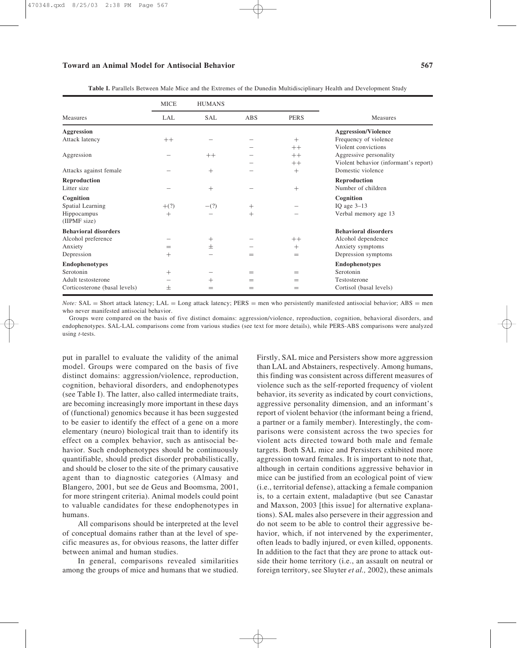| Measures                      | <b>MICE</b><br>LAL | <b>HUMANS</b><br><b>SAL</b> | ABS    | <b>PERS</b> | Measures                              |
|-------------------------------|--------------------|-----------------------------|--------|-------------|---------------------------------------|
|                               |                    |                             |        |             |                                       |
| Attack latency                | $++$               |                             |        | $+$         | Frequency of violence                 |
|                               |                    |                             |        | $++$        | Violent convictions                   |
| Aggression                    |                    | $++$                        |        | $++$        | Aggressive personality                |
|                               |                    |                             |        | $++$        | Violent behavior (informant's report) |
| Attacks against female        |                    | $+$                         |        | $+$         | Domestic violence                     |
| Reproduction                  |                    |                             |        |             | <b>Reproduction</b>                   |
| Litter size                   |                    | $+$                         |        | $^{+}$      | Number of children                    |
| Cognition                     |                    |                             |        |             | Cognition                             |
| Spatial Learning              | $+(?)$             | $-(?)$                      | $^{+}$ |             | IQ age $3-13$                         |
| Hippocampus                   | $^{+}$             |                             | $^{+}$ |             | Verbal memory age 13                  |
| (IIPMF size)                  |                    |                             |        |             |                                       |
| <b>Behavioral disorders</b>   |                    |                             |        |             | <b>Behavioral disorders</b>           |
| Alcohol preference            |                    | $^{+}$                      |        | $++$        | Alcohol dependence                    |
| Anxiety                       | =                  | $\pm$                       |        | $^{+}$      | Anxiety symptoms                      |
| Depression                    | $^+$               |                             | $=$    | $=$         | Depression symptoms                   |
| <b>Endophenotypes</b>         |                    |                             |        |             | <b>Endophenotypes</b>                 |
| Serotonin                     | $^{+}$             |                             | $=$    | $=$         | Serotonin                             |
| Adult testosterone            |                    | $^{+}$                      | $=$    | =           | Testosterone                          |
| Corticosterone (basal levels) | 士                  | $=$                         | $=$    | $=$         | Cortisol (basal levels)               |

**Table I.** Parallels Between Male Mice and the Extremes of the Dunedin Multidisciplinary Health and Development Study

*Note:* SAL = Short attack latency; LAL = Long attack latency; PERS = men who persistently manifested antisocial behavior; ABS = men who never manifested antisocial behavior.

Groups were compared on the basis of five distinct domains: aggression/violence, reproduction, cognition, behavioral disorders, and endophenotypes. SAL-LAL comparisons come from various studies (see text for more details), while PERS-ABS comparisons were analyzed using *t*-tests.

put in parallel to evaluate the validity of the animal model. Groups were compared on the basis of five distinct domains: aggression/violence, reproduction, cognition, behavioral disorders, and endophenotypes (see Table I). The latter, also called intermediate traits, are becoming increasingly more important in these days of (functional) genomics because it has been suggested to be easier to identify the effect of a gene on a more elementary (neuro) biological trait than to identify its effect on a complex behavior, such as antisocial behavior. Such endophenotypes should be continuously quantifiable, should predict disorder probabilistically, and should be closer to the site of the primary causative agent than to diagnostic categories (Almasy and Blangero, 2001, but see de Geus and Boomsma, 2001, for more stringent criteria). Animal models could point to valuable candidates for these endophenotypes in humans.

All comparisons should be interpreted at the level of conceptual domains rather than at the level of specific measures as, for obvious reasons, the latter differ between animal and human studies.

In general, comparisons revealed similarities among the groups of mice and humans that we studied.

Firstly, SAL mice and Persisters show more aggression than LAL and Abstainers, respectively. Among humans, this finding was consistent across different measures of violence such as the self-reported frequency of violent behavior, its severity as indicated by court convictions, aggressive personality dimension, and an informant's report of violent behavior (the informant being a friend, a partner or a family member). Interestingly, the comparisons were consistent across the two species for violent acts directed toward both male and female targets. Both SAL mice and Persisters exhibited more aggression toward females. It is important to note that, although in certain conditions aggressive behavior in mice can be justified from an ecological point of view (i.e., territorial defense), attacking a female companion is, to a certain extent, maladaptive (but see Canastar and Maxson, 2003 [this issue] for alternative explanations). SAL males also persevere in their aggression and do not seem to be able to control their aggressive behavior, which, if not intervened by the experimenter, often leads to badly injured, or even killed, opponents. In addition to the fact that they are prone to attack outside their home territory (i.e., an assault on neutral or foreign territory, see Sluyter *et al.,* 2002), these animals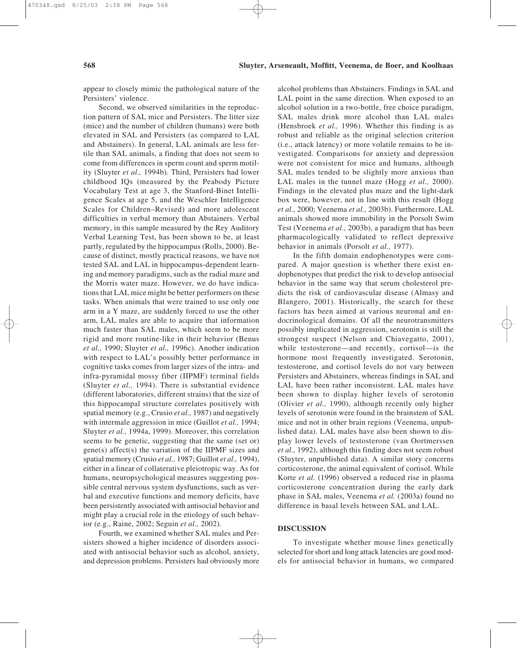appear to closely mimic the pathological nature of the Persisters' violence.

Second, we observed similarities in the reproduction pattern of SAL mice and Persisters. The litter size (mice) and the number of children (humans) were both elevated in SAL and Persisters (as compared to LAL and Abstainers). In general, LAL animals are less fertile than SAL animals, a finding that does not seem to come from differences in sperm count and sperm motility (Sluyter *et al.,* 1994b). Third, Persisters had lower childhood IQs (measured by the Peabody Picture Vocabulary Test at age 3, the Stanford-Binet Intelligence Scales at age 5, and the Weschler Intelligence Scales for Children–Revised) and more adolescent difficulties in verbal memory than Abstainers. Verbal memory, in this sample measured by the Rey Auditory Verbal Learning Test, has been shown to be, at least partly, regulated by the hippocampus (Rolls, 2000). Because of distinct, mostly practical reasons, we have not tested SAL and LAL in hippocampus-dependent learning and memory paradigms, such as the radial maze and the Morris water maze. However, we do have indications that LAL mice might be better performers on these tasks. When animals that were trained to use only one arm in a Y maze, are suddenly forced to use the other arm, LAL males are able to acquire that information much faster than SAL males, which seem to be more rigid and more routine-like in their behavior (Benus *et al.,* 1990; Sluyter *et al.,* 1996c). Another indication with respect to LAL's possibly better performance in cognitive tasks comes from larger sizes of the intra- and infra-pyramidal mossy fiber (IIPMF) terminal fields (Sluyter *et al.,* 1994). There is substantial evidence (different laboratories, different strains) that the size of this hippocampal structure correlates positively with spatial memory (e.g., Crusio *et al.,* 1987) and negatively with intermale aggression in mice (Guillot *et al.,* 1994; Sluyter *et al.,* 1994a, 1999). Moreover, this correlation seems to be genetic, suggesting that the same (set or) gene(s) affect(s) the variation of the IIPMF sizes and spatial memory (Crusio *et al.,* 1987; Guillot *et al.,* 1994), either in a linear of collaterative pleiotropic way. As for humans, neuropsychological measures suggesting possible central nervous system dysfunctions, such as verbal and executive functions and memory deficits, have been persistently associated with antisocial behavior and might play a crucial role in the etiology of such behavior (e.g., Raine, 2002; Seguin *et al.,* 2002).

Fourth, we examined whether SAL males and Persisters showed a higher incidence of disorders associated with antisocial behavior such as alcohol, anxiety, and depression problems. Persisters had obviously more

alcohol problems than Abstainers. Findings in SAL and LAL point in the same direction. When exposed to an alcohol solution in a two-bottle, free choice paradigm, SAL males drink more alcohol than LAL males (Hensbroek *et al.,* 1996). Whether this finding is as robust and reliable as the original selection criterion (i.e., attack latency) or more volatile remains to be investigated. Comparisons for anxiety and depression were not consistent for mice and humans, although SAL males tended to be slightly more anxious than LAL males in the tunnel maze (Hogg *et al.,* 2000). Findings in the elevated plus maze and the light-dark box were, however, not in line with this result (Hogg *et al.,* 2000; Veenema *et al.,* 2003b). Furthermore, LAL animals showed more immobility in the Porsolt Swim Test (Veenema *et al.,* 2003b), a paradigm that has been pharmacologically validated to reflect depressive behavior in animals (Porsolt *et al.,* 1977).

In the fifth domain endophenotypes were compared. A major question is whether there exist endophenotypes that predict the risk to develop antisocial behavior in the same way that serum cholesterol predicts the risk of cardiovascular disease (Almasy and Blangero, 2001). Historically, the search for these factors has been aimed at various neuronal and endocrinological domains. Of all the neurotransmitters possibly implicated in aggression, serotonin is still the strongest suspect (Nelson and Chiavegatto, 2001), while testosterone—and recently, cortisol—is the hormone most frequently investigated. Serotonin, testosterone, and cortisol levels do not vary between Persisters and Abstainers, whereas findings in SAL and LAL have been rather inconsistent. LAL males have been shown to display higher levels of serotonin (Olivier *et al.,* 1990), although recently only higher levels of serotonin were found in the brainstem of SAL mice and not in other brain regions (Veenema, unpublished data). LAL males have also been shown to display lower levels of testosterone (van Oortmerssen *et al.,* 1992), although this finding does not seem robust (Sluyter, unpublished data). A similar story concerns corticosterone, the animal equivalent of cortisol. While Korte *et al.* (1996) observed a reduced rise in plasma corticosterone concentration during the early dark phase in SAL males, Veenema *et al.* (2003a) found no difference in basal levels between SAL and LAL.

## **DISCUSSION**

To investigate whether mouse lines genetically selected for short and long attack latencies are good models for antisocial behavior in humans, we compared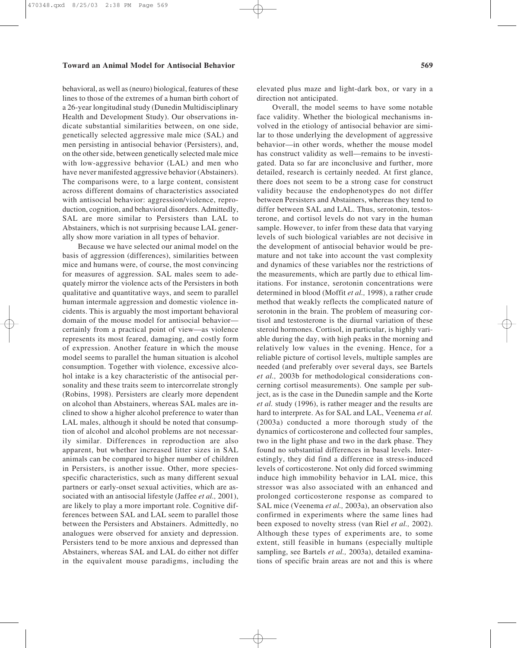behavioral, as well as (neuro) biological, features of these lines to those of the extremes of a human birth cohort of a 26-year longitudinal study (Dunedin Multidisciplinary Health and Development Study). Our observations indicate substantial similarities between, on one side, genetically selected aggressive male mice (SAL) and men persisting in antisocial behavior (Persisters), and, on the other side, between genetically selected male mice with low-aggressive behavior (LAL) and men who have never manifested aggressive behavior (Abstainers). The comparisons were, to a large content, consistent across different domains of characteristics associated with antisocial behavior: aggression/violence, reproduction, cognition, and behavioral disorders. Admittedly, SAL are more similar to Persisters than LAL to Abstainers, which is not surprising because LAL generally show more variation in all types of behavior.

Because we have selected our animal model on the basis of aggression (differences), similarities between mice and humans were, of course, the most convincing for measures of aggression. SAL males seem to adequately mirror the violence acts of the Persisters in both qualitative and quantitative ways, and seem to parallel human intermale aggression and domestic violence incidents. This is arguably the most important behavioral domain of the mouse model for antisocial behavior certainly from a practical point of view—as violence represents its most feared, damaging, and costly form of expression. Another feature in which the mouse model seems to parallel the human situation is alcohol consumption. Together with violence, excessive alcohol intake is a key characteristic of the antisocial personality and these traits seem to intercorrelate strongly (Robins, 1998). Persisters are clearly more dependent on alcohol than Abstainers, whereas SAL males are inclined to show a higher alcohol preference to water than LAL males, although it should be noted that consumption of alcohol and alcohol problems are not necessarily similar. Differences in reproduction are also apparent, but whether increased litter sizes in SAL animals can be compared to higher number of children in Persisters, is another issue. Other, more speciesspecific characteristics, such as many different sexual partners or early-onset sexual activities, which are associated with an antisocial lifestyle (Jaffee *et al.,* 2001), are likely to play a more important role. Cognitive differences between SAL and LAL seem to parallel those between the Persisters and Abstainers. Admittedly, no analogues were observed for anxiety and depression. Persisters tend to be more anxious and depressed than Abstainers, whereas SAL and LAL do either not differ in the equivalent mouse paradigms, including the elevated plus maze and light-dark box, or vary in a direction not anticipated.

Overall, the model seems to have some notable face validity. Whether the biological mechanisms involved in the etiology of antisocial behavior are similar to those underlying the development of aggressive behavior—in other words, whether the mouse model has construct validity as well—remains to be investigated. Data so far are inconclusive and further, more detailed, research is certainly needed. At first glance, there does not seem to be a strong case for construct validity because the endophenotypes do not differ between Persisters and Abstainers, whereas they tend to differ between SAL and LAL. Thus, serotonin, testosterone, and cortisol levels do not vary in the human sample. However, to infer from these data that varying levels of such biological variables are not decisive in the development of antisocial behavior would be premature and not take into account the vast complexity and dynamics of these variables nor the restrictions of the measurements, which are partly due to ethical limitations. For instance, serotonin concentrations were determined in blood (Moffit *et al.,* 1998), a rather crude method that weakly reflects the complicated nature of serotonin in the brain. The problem of measuring cortisol and testosterone is the diurnal variation of these steroid hormones. Cortisol, in particular, is highly variable during the day, with high peaks in the morning and relatively low values in the evening. Hence, for a reliable picture of cortisol levels, multiple samples are needed (and preferably over several days, see Bartels *et al.,* 2003b for methodological considerations concerning cortisol measurements). One sample per subject, as is the case in the Dunedin sample and the Korte *et al.* study (1996), is rather meager and the results are hard to interprete. As for SAL and LAL, Veenema *et al.* (2003a) conducted a more thorough study of the dynamics of corticosterone and collected four samples, two in the light phase and two in the dark phase. They found no substantial differences in basal levels. Interestingly, they did find a difference in stress-induced levels of corticosterone. Not only did forced swimming induce high immobility behavior in LAL mice, this stressor was also associated with an enhanced and prolonged corticosterone response as compared to SAL mice (Veenema *et al.,* 2003a), an observation also confirmed in experiments where the same lines had been exposed to novelty stress (van Riel *et al.,* 2002). Although these types of experiments are, to some extent, still feasible in humans (especially multiple sampling, see Bartels *et al.,* 2003a), detailed examinations of specific brain areas are not and this is where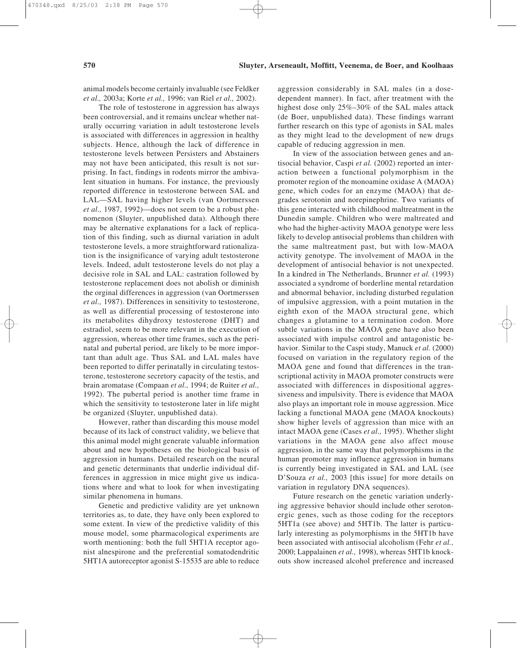animal models become certainly invaluable (see Feldker *et al.,* 2003a; Korte *et al.,* 1996; van Riel *et al.,* 2002).

The role of testosterone in aggression has always been controversial, and it remains unclear whether naturally occurring variation in adult testosterone levels is associated with differences in aggression in healthy subjects. Hence, although the lack of difference in testosterone levels between Persisters and Abstainers may not have been anticipated, this result is not surprising. In fact, findings in rodents mirror the ambivalent situation in humans. For instance, the previously reported difference in testosterone between SAL and LAL—SAL having higher levels (van Oortmerssen *et al.,* 1987, 1992)—does not seem to be a robust phenomenon (Sluyter, unpublished data). Although there may be alternative explanations for a lack of replication of this finding, such as diurnal variation in adult testosterone levels, a more straightforward rationalization is the insignificance of varying adult testosterone levels. Indeed, adult testosterone levels do not play a decisive role in SAL and LAL: castration followed by testosterone replacement does not abolish or diminish the orginal differences in aggression (van Oortmerssen *et al.,* 1987). Differences in sensitivity to testosterone, as well as differential processing of testosterone into its metabolites dihydroxy testosterone (DHT) and estradiol, seem to be more relevant in the execution of aggression, whereas other time frames, such as the perinatal and pubertal period, are likely to be more important than adult age. Thus SAL and LAL males have been reported to differ perinatally in circulating testosterone, testosterone secretory capacity of the testis, and brain aromatase (Compaan *et al.,* 1994; de Ruiter *et al.,* 1992). The pubertal period is another time frame in which the sensitivity to testosterone later in life might be organized (Sluyter, unpublished data).

However, rather than discarding this mouse model because of its lack of construct validity, we believe that this animal model might generate valuable information about and new hypotheses on the biological basis of aggression in humans. Detailed research on the neural and genetic determinants that underlie individual differences in aggression in mice might give us indications where and what to look for when investigating similar phenomena in humans.

Genetic and predictive validity are yet unknown territories as, to date, they have only been explored to some extent. In view of the predictive validity of this mouse model, some pharmacological experiments are worth mentioning: both the full 5HT1A receptor agonist alnespirone and the preferential somatodendritic 5HT1A autoreceptor agonist S-15535 are able to reduce aggression considerably in SAL males (in a dosedependent manner). In fact, after treatment with the highest dose only 25%–30% of the SAL males attack (de Boer, unpublished data). These findings warrant further research on this type of agonists in SAL males as they might lead to the development of new drugs capable of reducing aggression in men.

In view of the association between genes and antisocial behavior, Caspi *et al.* (2002) reported an interaction between a functional polymorphism in the promoter region of the monoamine oxidase A (MAOA) gene, which codes for an enzyme (MAOA) that degrades serotonin and norepinephrine. Two variants of this gene interacted with childhood maltreatment in the Dunedin sample. Children who were maltreated and who had the higher-activity MAOA genotype were less likely to develop antisocial problems than children with the same maltreatment past, but with low-MAOA activity genotype. The involvement of MAOA in the development of antisocial behavior is not unexpected. In a kindred in The Netherlands, Brunner *et al.* (1993) associated a syndrome of borderline mental retardation and abnormal behavior, including disturbed regulation of impulsive aggression, with a point mutation in the eighth exon of the MAOA structural gene, which changes a glutamine to a termination codon. More subtle variations in the MAOA gene have also been associated with impulse control and antagonistic behavior. Similar to the Caspi study, Manuck *et al.* (2000) focused on variation in the regulatory region of the MAOA gene and found that differences in the transcriptional activity in MAOA promoter constructs were associated with differences in dispositional aggressiveness and impulsivity. There is evidence that MAOA also plays an important role in mouse aggression. Mice lacking a functional MAOA gene (MAOA knockouts) show higher levels of aggression than mice with an intact MAOA gene (Cases *et al.,* 1995). Whether slight variations in the MAOA gene also affect mouse aggression, in the same way that polymorphisms in the human promoter may influence aggression in humans is currently being investigated in SAL and LAL (see D'Souza *et al.,* 2003 [this issue] for more details on variation in regulatory DNA sequences).

Future research on the genetic variation underlying aggressive behavior should include other serotonergic genes, such as those coding for the receptors 5HT1a (see above) and 5HT1b. The latter is particularly interesting as polymorphisms in the 5HT1b have been associated with antisocial alcoholism (Fehr *et al.,* 2000; Lappalainen *et al.,* 1998), whereas 5HT1b knockouts show increased alcohol preference and increased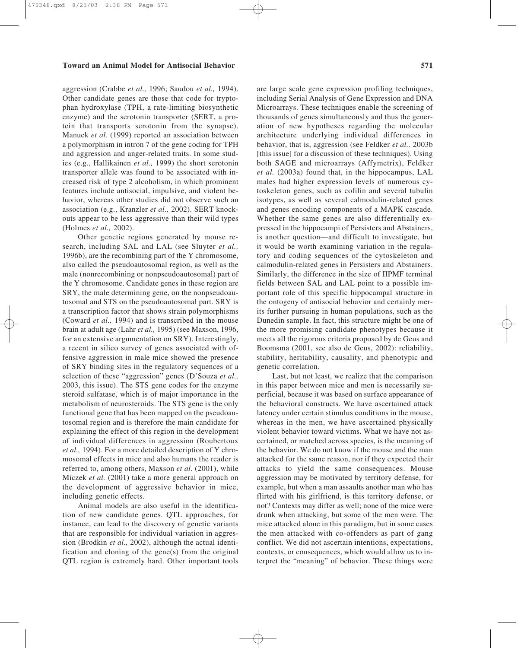aggression (Crabbe *et al.,* 1996; Saudou *et al.,* 1994). Other candidate genes are those that code for tryptophan hydroxylase (TPH, a rate-limiting biosynthetic enzyme) and the serotonin transporter (SERT, a protein that transports serotonin from the synapse). Manuck *et al.* (1999) reported an association between a polymorphism in intron 7 of the gene coding for TPH and aggression and anger-related traits. In some studies (e.g., Hallikainen *et al.,* 1999) the short serotonin transporter allele was found to be associated with increased risk of type 2 alcoholism, in which prominent features include antisocial, impulsive, and violent behavior, whereas other studies did not observe such an association (e.g., Kranzler *et al.,* 2002). SERT knockouts appear to be less aggressive than their wild types (Holmes *et al.,* 2002).

Other genetic regions generated by mouse research, including SAL and LAL (see Sluyter *et al.,* 1996b), are the recombining part of the Y chromosome, also called the pseudoautosomal region, as well as the male (nonrecombining or nonpseudoautosomal) part of the Y chromosome. Candidate genes in these region are SRY, the male determining gene, on the nonpseudoautosomal and STS on the pseudoautosomal part. SRY is a transcription factor that shows strain polymorphisms (Coward *et al.,* 1994) and is transcribed in the mouse brain at adult age (Lahr *et al.,* 1995) (see Maxson, 1996, for an extensive argumentation on SRY). Interestingly, a recent in silico survey of genes associated with offensive aggression in male mice showed the presence of SRY binding sites in the regulatory sequences of a selection of these "aggression" genes (D'Souza *et al.,* 2003, this issue). The STS gene codes for the enzyme steroid sulfatase, which is of major importance in the metabolism of neurosteroids. The STS gene is the only functional gene that has been mapped on the pseudoautosomal region and is therefore the main candidate for explaining the effect of this region in the development of individual differences in aggression (Roubertoux *et al.,* 1994). For a more detailed description of Y chromosomal effects in mice and also humans the reader is referred to, among others, Maxson *et al.* (2001), while Miczek *et al.* (2001) take a more general approach on the development of aggressive behavior in mice, including genetic effects.

Animal models are also useful in the identification of new candidate genes. QTL approaches, for instance, can lead to the discovery of genetic variants that are responsible for individual variation in aggression (Brodkin *et al.,* 2002), although the actual identification and cloning of the gene(s) from the original QTL region is extremely hard. Other important tools are large scale gene expression profiling techniques, including Serial Analysis of Gene Expression and DNA Microarrays. These techniques enable the screening of thousands of genes simultaneously and thus the generation of new hypotheses regarding the molecular architecture underlying individual differences in behavior, that is, aggression (see Feldker *et al.,* 2003b [this issue] for a discussion of these techniques). Using both SAGE and microarrays (Affymetrix), Feldker *et al.* (2003a) found that, in the hippocampus, LAL males had higher expression levels of numerous cytoskeleton genes, such as cofilin and several tubulin isotypes, as well as several calmodulin-related genes and genes encoding components of a MAPK cascade. Whether the same genes are also differentially expressed in the hippocampi of Persisters and Abstainers, is another question—and difficult to investigate, but it would be worth examining variation in the regulatory and coding sequences of the cytoskeleton and calmodulin-related genes in Persisters and Abstainers. Similarly, the difference in the size of IIPMF terminal fields between SAL and LAL point to a possible important role of this specific hippocampal structure in the ontogeny of antisocial behavior and certainly merits further pursuing in human populations, such as the Dunedin sample. In fact, this structure might be one of the more promising candidate phenotypes because it meets all the rigorous criteria proposed by de Geus and Boomsma (2001, see also de Geus, 2002): reliability, stability, heritability, causality, and phenotypic and genetic correlation.

Last, but not least, we realize that the comparison in this paper between mice and men is necessarily superficial, because it was based on surface appearance of the behavioral constructs. We have ascertained attack latency under certain stimulus conditions in the mouse, whereas in the men, we have ascertained physically violent behavior toward victims. What we have not ascertained, or matched across species, is the meaning of the behavior. We do not know if the mouse and the man attacked for the same reason, nor if they expected their attacks to yield the same consequences. Mouse aggression may be motivated by territory defense, for example, but when a man assaults another man who has flirted with his girlfriend, is this territory defense, or not? Contexts may differ as well; none of the mice were drunk when attacking, but some of the men were. The mice attacked alone in this paradigm, but in some cases the men attacked with co-offenders as part of gang conflict. We did not ascertain intentions, expectations, contexts, or consequences, which would allow us to interpret the "meaning" of behavior. These things were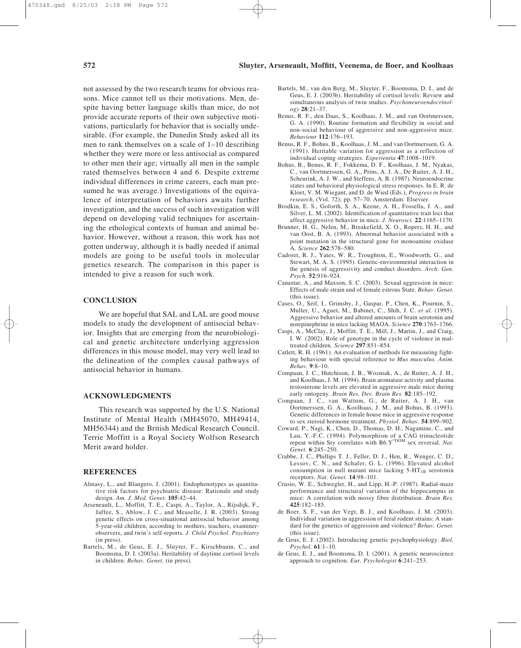not assessed by the two research teams for obvious reasons. Mice cannot tell us their motivations. Men, despite having better language skills than mice, do not provide accurate reports of their own subjective motivations, particularly for behavior that is socially undesirable. (For example, the Dunedin Study asked all its men to rank themselves on a scale of 1–10 describing whether they were more or less antisocial as compared to other men their age; virtually all men in the sample rated themselves between 4 and 6. Despite extreme individual differences in crime careers, each man presumed he was average.) Investigations of the equivalence of interpretation of behaviors awaits further investigation, and the success of such investigation will depend on developing valid techniques for ascertaining the ethological contexts of human and animal behavior. However, without a reason, this work has not gotten underway, although it is badly needed if animal models are going to be useful tools in molecular genetics research. The comparison in this paper is intended to give a reason for such work.

# **CONCLUSION**

We are hopeful that SAL and LAL are good mouse models to study the development of antisocial behavior. Insights that are emerging from the neurobiological and genetic architecture underlying aggression differences in this mouse model, may very well lead to the delineation of the complex causal pathways of antisocial behavior in humans.

## **ACKNOWLEDGMENTS**

This research was supported by the U.S. National Institute of Mental Health (MH45070, MH49414, MH56344) and the British Medical Research Council. Terrie Moffitt is a Royal Society Wolfson Research Merit award holder.

## **REFERENCES**

- Almasy, L., and Blangero, J. (2001). Endophenotypes as quantitative risk factors for psychiatric disease: Rationale and study design. *Am. J. Med. Genet.* **105**:42–44.
- Arseneault, L., Moffitt, T. E., Caspi, A., Taylor, A., Rijsdijk, F., Jaffee, S., Ablow, J. C., and Measelle, J. R. (2003). Strong genetic effects on cross-situational antisocial behavior among 5-year-old children, according to mothers, teachers, examinerobservers, and twin's self-reports. *J. Child Psychol. Psychiatry* (in press).
- Bartels, M., de Geus, E. J., Sluyter, F., Kirschbaum, C., and Boomsma, D. I. (2003a). Heritability of daytime cortisol levels in children. *Behav. Genet.* (in press).
- Bartels, M., van den Berg, M., Sluyter, F., Boomsma, D. I., and de Geus, E. J. (2003b). Heritability of cortisol levels: Review and simultaneous analysis of twin studies. *Psychoneuroendocrinology* **28**:21–37.
- Benus, R. F., den Daas, S., Koolhaas, J. M., and van Oortmerssen, G. A. (1990). Routine formation and flexibility in social and non-social behaviour of aggressive and non-aggressive mice. *Behaviour* **112**:176–193.
- Benus, R. F., Bohus, B., Koolhaas, J. M., and van Oortmerssen, G. A. (1991). Heritable variation for aggression as a reflection of individual coping strategies. *Experientia* **47**:1008–1019.
- Bohus, B., Benus, R. F., Fokkema, D. F., Koolhaas, J. M., Nyakas, C., van Oortmerssen, G. A., Prins, A. J. A., De Ruiter, A. J. H., Scheurink, A. J. W., and Steffens, A. B. (1987). Neuroendocrine states and behavioral physiological stress responses. In E. R. de Kloet, V. M. Wiegant, and D. de Wied (Eds.), *Progress in brain research*, (Vol. 72); pp. 57–70. Amsterdam: Elsevier.
- Brodkin, E. S., Goforth, S. A., Keene, A. H., Fossella, J. A., and Silver, L. M. (2002). Identification of quantitative trait loci that affect aggressive behavior in mice. *J. Neurosci.* **22**:1165–1170.
- Brunner, H. G., Nelen, M., Breakefield, X. O., Ropers, H. H., and van Oost, B. A. (1993). Abnormal behavior associated with a point mutation in the structural gene for monoamine oxidase A. *Science* **262**:578–580.
- Cadoret, R. J., Yates, W. R., Troughton, E., Woodworth, G., and Stewart, M. A. S. (1995). Genetic-environmental interaction in the genesis of aggressivity and conduct disorders. *Arch. Gen. Psych.* **52**:916–924.
- Canastar, A., and Maxson, S. C. (2003). Sexual aggression in mice: Effects of male strain and of female estrous State. *Behav. Genet.* (this issue).
- Cases, O., Seif, I., Grimsby, J., Gaspar, P., Chen, K., Pournin, S., Muller, U., Aguet, M., Babinet, C., Shih, J. C. *et al.* (1995). Aggressive behavior and altered amounts of brain serotonin and norepinephrine in mice lacking MAOA. *Science* **270**:1763–1766.
- Caspi, A., McClay, J., Moffitt, T. E., Mill, J., Martin, J., and Craig, I. W. (2002). Role of genotype in the cycle of violence in maltreated children. *Science* **297**:851–854.
- Catlett, R. H. (1961). An evaluation of methods for measuring fighting behaviour with special reference to *Mus musculus. Anim. Behav.* **9**:8–10.
- Compaan, J. C., Hutchison, J. B., Wozniak, A., de Ruiter, A. J. H., and Koolhaas, J. M. (1994). Brain aromatase activity and plasma testosterone levels are elevated in aggressive male mice during early ontogeny. *Brain Res. Dev. Brain Res.* **82**:185–192.
- Compaan, J. C., van Wattum, G., de Ruiter, A. J. H., van Oortmerssen, G. A., Koolhaas, J. M., and Bohus, B. (1993). Genetic differences in female house mice in aggressive response to sex steroid hormone treatment. *Physiol. Behav.* **54**:899–902.
- Coward, P., Nagi, K., Chen, D., Thomas, D. H., Nagamine, C., and Lau, Y.-F.C. (1994). Polymorphism of a CAG trinucleotide repeat within Sry correlates with B6.Y<sup>\*DOM</sup> sex reversal. *Nat. Genet.* **6**:245–250.
- Crabbe, J. C., Phillips T. J., Feller, D. J., Hen, R., Wenger, C. D., Lessov, C. N., and Schafer, G. L. (1996). Elevated alcohol consumption in null mutant mice lacking  $5-HT_{1B}$  serotonin receptors. *Nat. Genet.* **14**:98–101.
- Crusio, W. E., Schwegler, H., and Lipp, H.-P. (1987). Radial-maze performance and structural variation of the hippocampus in mice: A correlation with mossy fibre distribution. *Brain Res.* **425**:182–185.
- de Boer, S. F., van der Vegt, B. J., and Koolhaas, J. M. (2003). Individual variation in aggression of feral rodent strains: A standard for the genetics of aggression and violence? *Behav. Genet.* (this issue).
- de Geus, E. J. (2002). Introducing genetic psychophysiology. *Biol. Psychol.* **61**:1–10.
- de Geus, E. J., and Boomsma, D. I. (2001). A genetic neuroscience approach to cognition. *Eur. Psychologist* **6**:241–253.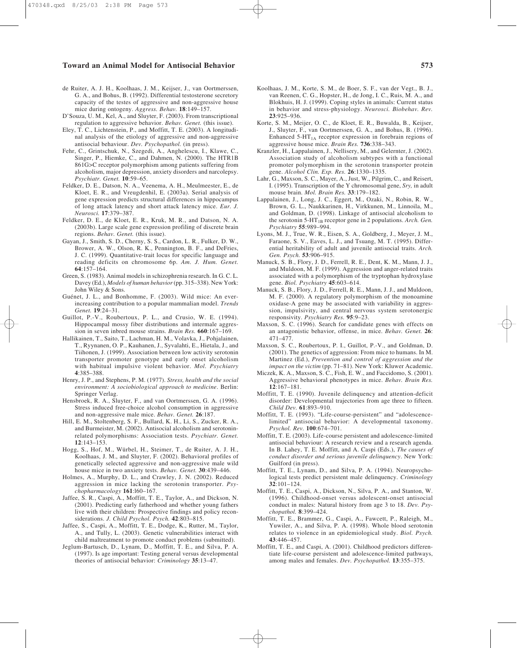- de Ruiter, A. J. H., Koolhaas, J. M., Keijser, J., van Oortmerssen, G. A., and Bohus, B. (1992). Differential testosterone secretory capacity of the testes of aggressive and non-aggressive house mice during ontogeny. *Aggress. Behav.* **18**:149–157.
- D'Souza, U. M., Kel, A., and Sluyter, F. (2003). From transcriptional regulation to aggressive behavior. *Behav. Genet.* (this issue).
- Eley, T. C., Lichtenstein, P., and Moffitt, T. E. (2003). A longitudinal analysis of the etiology of aggressive and non-aggressive antisocial behaviour. *Dev. Psychopathol.* (in press).
- Fehr, C., Grintschuk, N., Szegedi, A., Anghelescu, I., Klawe, C., Singer, P., Hiemke, C., and Dahmen, N. (2000). The HTR1B 861G>C receptor polymorphism among patients suffering from alcoholism, major depression, anxiety disorders and narcolepsy. *Psychiatr. Genet.* **10**:59–65.
- Feldker, D. E., Datson, N. A., Veenema, A. H., Meulmeester, E., de Kloet, E. R., and Vreugdenhil, E. (2003a). Serial analysis of gene expression predicts structural differences in hippocampus of long attack latency and short attack latency mice. *Eur. J. Neurosci.* **17**:379–387.
- Feldker, D. E., de Kloet, E. R., Kruk, M. R., and Datson, N. A. (2003b). Large scale gene expression profiling of discrete brain regions. *Behav. Genet.* (this issue).
- Gayan, J., Smith, S. D., Cherny, S. S., Cardon, L. R., Fulker, D. W., Brower, A. W., Olson, R. K., Pennington, B. F., and DeFries, J. C. (1999). Quantitative-trait locus for specific language and reading deficits on chromosome 6p. *Am. J. Hum. Genet.* **64**:157–164.
- Green, S. (1983). Animal models in schizophrenia research. In G. C. L. Davey (Ed.), *Models of human behavior*(pp. 315–338). New York: John Wiley & Sons.
- Guénet, J. L., and Bonhomme, F. (2003). Wild mice: An everincreasing contribution to a popular mammalian model. *Trends Genet.* **19**:24–31.
- Guillot, P.-V., Roubertoux, P. L., and Crusio, W. E. (1994). Hippocampal mossy fiber distributions and intermale aggression in seven inbred mouse strains. *Brain Res.* **660**:167–169.
- Hallikainen, T., Saito, T., Lachman, H. M., Volavka, J., Pohjalainen, T., Ryynanen, O. P., Kauhanen, J., Syvalahti, E., Hietala, J., and Tiihonen, J. (1999). Association between low activity serotonin transporter promoter genotype and early onset alcoholism with habitual impulsive violent behavior. *Mol. Psychiatry* **4**:385–388.
- Henry, J. P., and Stephens, P. M. (1977). *Stress, health and the social environment: A sociobiological approach to medicine*. Berlin: Springer Verlag.
- Hensbroek, R. A., Sluyter, F., and van Oortmerssen, G. A. (1996). Stress induced free-choice alcohol consumption in aggressive and non-aggressive male mice. *Behav. Genet.* **26**:187.
- Hill, E. M., Stoltenberg, S. F., Bullard, K. H., Li, S., Zucker, R. A., and Burmeister, M. (2002). Antisocial alcoholism and serotoninrelated polymorphisms: Association tests. *Psychiatr. Genet.* **12**:143–153.
- Hogg, S., Hof, M., Würbel, H., Steimer, T., de Ruiter, A. J. H., Koolhaas, J. M., and Sluyter, F. (2002). Behavioral profiles of genetically selected aggressive and non-aggressive male wild house mice in two anxiety tests. *Behav. Genet.* **30**:439–446.
- Holmes, A., Murphy, D. L., and Crawley, J. N. (2002). Reduced aggression in mice lacking the serotonin transporter. *Psychopharmacology* **161**:l60–167.
- Jaffee, S. R., Caspi, A., Moffitt, T. E., Taylor, A., and Dickson, N. (2001). Predicting early fatherhood and whether young fathers live with their children: Prospective findings and policy reconsiderations. *J. Child Psychol. Psych.* **42**:803–815.
- Jaffee, S., Caspi, A., Moffitt, T. E., Dodge, K., Rutter, M., Taylor, A., and Tully, L. (2003). Genetic vulnerabilities interact with child maltreatment to promote conduct problems (submitted).
- Jeglum-Bartusch, D., Lynam, D., Moffitt, T. E., and Silva, P. A. (1997). Is age important: Testing general versus developmental theories of antisocial behavior: *Criminology* **35**:13–47.
- Koolhaas, J. M., Korte, S. M., de Boer, S. F., van der Vegt., B. J., van Reenen, C. G., Hopster, H., de Jong, I. C., Ruis, M. A., and Blokhuis, H. J. (1999). Coping styles in animals: Current status in behavior and stress-physiology. *Neurosci. Biobehav. Rev.* **23**:925–936.
- Korte, S. M., Meijer, O. C., de Kloet, E. R., Buwalda, B., Keijser, J., Sluyter, F., van Oortmerssen, G. A., and Bohus, B. (1996). Enhanced  $5-HT<sub>1A</sub>$  receptor expression in forebrain regions of aggressive house mice. *Brain Res.* **736**:338–343.
- Kranzler, H., Lappalainen, J., Nellisery, M., and Gelernter, J. (2002). Association study of alcoholism subtypes with a functional promoter polymorphism in the serotonin transporter protein gene. *Alcohol Clin. Exp. Res.* **26**:1330–1335.
- Lahr, G., Maxson, S. C., Mayer, A., Just, W., Pilgrim, C., and Reisert, I. (1995). Transcription of the Y chromosomal gene, *Sry,* in adult mouse brain. *Mol. Brain Res.* **33**:179–182.
- Lappalainen, J., Long, J. C., Eggert, M., Ozaki, N., Robin, R. W., Brown, G. L., Naukkarinen, H., Virkkunen, M., Linnoila, M., and Goldman, D. (1998). Linkage of antisocial alcoholism to the serotonin 5-HT<sub>1B</sub> receptor gene in 2 populations. *Arch. Gen. Psychiatry* **55**:989–994.
- Lyons, M. J., True, W. R., Eisen, S. A., Goldberg, J., Meyer, J. M., Faraone, S. V., Eaves, L. J., and Tsuang, M. T. (1995). Differential heritability of adult and juvenile antisocial traits. *Arch. Gen. Psych.* **53**:906–915.
- Manuck, S. B., Flory, J. D., Ferrell, R. E., Dent, K. M., Mann, J. J., and Muldoon, M. F. (1999). Aggression and anger-related traits associated with a polymorphism of the tryptophan hydroxylase gene. *Biol. Psychiatry* **45**:603–614.
- Manuck, S. B., Flory, J. D., Ferrell, R. E., Mann, J. J., and Muldoon, M. F. (2000). A regulatory polymorphism of the monoamine oxidase-A gene may be associated with variability in aggression, impulsivity, and central nervous system serotonergic responsivity. *Psychiatry Res.* **95**:9–23.
- Maxson, S. C. (1996). Search for candidate genes with effects on an antagonistic behavior, offense, in mice. *Behav. Genet.* **26**: 471–477.
- Maxson, S. C., Roubertoux, P. I., Guillot, P.-V., and Goldman, D. (2001). The genetics of aggression: From mice to humans. In M. Martinez (Ed.), *Prevention and control of aggression and the impact on the victim* (pp. 71–81). New York: Kluwer Academic.
- Miczek, K. A., Maxson, S. C., Fish, E. W., and Faccidomo, S. (2001). Aggressive behavioral phenotypes in mice. *Behav. Brain Res.* **12**:167–181.
- Moffitt, T. E. (1990). Juvenile delinquency and attention-deficit disorder: Developmental trajectories from age three to fifteen. *Child Dev.* **61**:893–910.
- Moffitt, T. E. (1993). "Life-course-persistent" and "adolescencelimited" antisocial behavior: A developmental taxonomy. *Psychol. Rev.* **100**:674–701.
- Moffitt, T. E. (2003). Life-course persistent and adolescence-limited antisocial behaviour: A research review and a research agenda. In B. Lahey, T. E. Moffitt, and A. Caspi (Eds.), *The causes of conduct disorder and serious juvenile delinquency*. New York: Guilford (in press).
- Moffitt, T. E., Lynam, D., and Silva, P. A. (1994). Neuropsychological tests predict persistent male delinquency. *Criminology* **32**:101–124.
- Moffitt, T. E., Caspi, A., Dickson, N., Silva, P. A., and Stanton, W. (1996). Childhood-onset versus adolescent-onset antisocial conduct in males: Natural history from age 3 to 18. *Dev. Psychopathol.* **8**:399–424.
- Moffitt, T. E., Brammer, G., Caspi, A., Fawcett, P., Raleigh, M., Yuwiler, A., and Silva, P. A. (1998). Whole blood serotonin relates to violence in an epidemiological study. *Biol. Psych.* **43**:446–457.
- Moffitt, T. E., and Caspi, A. (2001). Childhood predictors differentiate life-course persistent and adolescence-limited pathways, among males and females. *Dev. Psychopathol.* **13**:355–375.